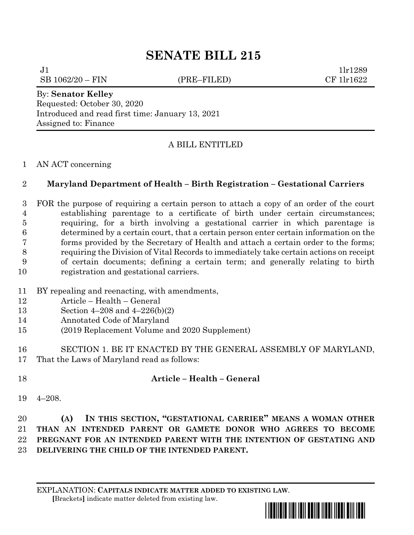# **SENATE BILL 215**

 $J1$   $11r1289$ SB 1062/20 – FIN (PRE–FILED) CF 1lr1622

By: **Senator Kelley** Requested: October 30, 2020 Introduced and read first time: January 13, 2021 Assigned to: Finance

## A BILL ENTITLED

#### AN ACT concerning

## **Maryland Department of Health – Birth Registration – Gestational Carriers**

 FOR the purpose of requiring a certain person to attach a copy of an order of the court establishing parentage to a certificate of birth under certain circumstances; requiring, for a birth involving a gestational carrier in which parentage is determined by a certain court, that a certain person enter certain information on the forms provided by the Secretary of Health and attach a certain order to the forms; requiring the Division of Vital Records to immediately take certain actions on receipt of certain documents; defining a certain term; and generally relating to birth registration and gestational carriers.

- BY repealing and reenacting, with amendments,
- Article Health General
- Section 4–208 and 4–226(b)(2)
- Annotated Code of Maryland
- (2019 Replacement Volume and 2020 Supplement)
- SECTION 1. BE IT ENACTED BY THE GENERAL ASSEMBLY OF MARYLAND, That the Laws of Maryland read as follows:
- 

# **Article – Health – General**

4–208.

 **(A) IN THIS SECTION, "GESTATIONAL CARRIER" MEANS A WOMAN OTHER THAN AN INTENDED PARENT OR GAMETE DONOR WHO AGREES TO BECOME PREGNANT FOR AN INTENDED PARENT WITH THE INTENTION OF GESTATING AND DELIVERING THE CHILD OF THE INTENDED PARENT.**

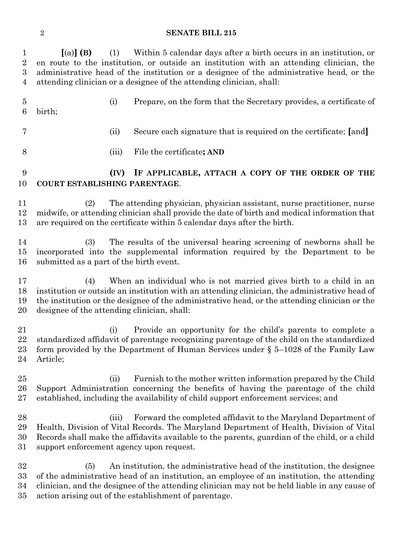### **SENATE BILL 215**

| $\mathbf{1}$<br>$\overline{2}$<br>$\boldsymbol{3}$<br>4 | $(a)$ (B)                                                                                                                                                                                                                                                                                                                  | (1)   | Within 5 calendar days after a birth occurs in an institution, or<br>en route to the institution, or outside an institution with an attending clinician, the<br>administrative head of the institution or a designee of the administrative head, or the<br>attending clinician or a designee of the attending clinician, shall:  |
|---------------------------------------------------------|----------------------------------------------------------------------------------------------------------------------------------------------------------------------------------------------------------------------------------------------------------------------------------------------------------------------------|-------|----------------------------------------------------------------------------------------------------------------------------------------------------------------------------------------------------------------------------------------------------------------------------------------------------------------------------------|
| $\overline{5}$<br>6                                     | birth;                                                                                                                                                                                                                                                                                                                     | (i)   | Prepare, on the form that the Secretary provides, a certificate of                                                                                                                                                                                                                                                               |
| 7                                                       |                                                                                                                                                                                                                                                                                                                            | (ii)  | Secure each signature that is required on the certificate; [and]                                                                                                                                                                                                                                                                 |
| 8                                                       |                                                                                                                                                                                                                                                                                                                            | (iii) | File the certificate; AND                                                                                                                                                                                                                                                                                                        |
| 9<br>10                                                 | COURT ESTABLISHING PARENTAGE.                                                                                                                                                                                                                                                                                              | (IV)  | IF APPLICABLE, ATTACH A COPY OF THE ORDER OF THE                                                                                                                                                                                                                                                                                 |
| 11<br>12<br>13                                          | The attending physician, physician assistant, nurse practitioner, nurse<br>(2)<br>midwife, or attending clinician shall provide the date of birth and medical information that<br>are required on the certificate within 5 calendar days after the birth.                                                                  |       |                                                                                                                                                                                                                                                                                                                                  |
| 14<br>15<br>16                                          | (3)<br>submitted as a part of the birth event.                                                                                                                                                                                                                                                                             |       | The results of the universal hearing screening of newborns shall be<br>incorporated into the supplemental information required by the Department to be                                                                                                                                                                           |
| 17<br>18<br>19<br>20                                    | When an individual who is not married gives birth to a child in an<br>(4)<br>institution or outside an institution with an attending clinician, the administrative head of<br>the institution or the designee of the administrative head, or the attending clinician or the<br>designee of the attending clinician, shall: |       |                                                                                                                                                                                                                                                                                                                                  |
| 21<br>22<br>$23\,$<br>24                                | Article;                                                                                                                                                                                                                                                                                                                   | (i)   | Provide an opportunity for the child's parents to complete a<br>standardized affidavit of parentage recognizing parentage of the child on the standardized<br>form provided by the Department of Human Services under $\S$ 5-1028 of the Family Law                                                                              |
| $25\,$<br>26<br>$27\,$                                  |                                                                                                                                                                                                                                                                                                                            | (ii)  | Furnish to the mother written information prepared by the Child<br>Support Administration concerning the benefits of having the parentage of the child<br>established, including the availability of child support enforcement services; and                                                                                     |
| 28<br>29<br>30<br>$31\,$                                | support enforcement agency upon request.                                                                                                                                                                                                                                                                                   | (iii) | Forward the completed affidavit to the Maryland Department of<br>Health, Division of Vital Records. The Maryland Department of Health, Division of Vital<br>Records shall make the affidavits available to the parents, guardian of the child, or a child                                                                        |
| $32\,$<br>$33\,$<br>34<br>35                            | (5)                                                                                                                                                                                                                                                                                                                        |       | An institution, the administrative head of the institution, the designee<br>of the administrative head of an institution, an employee of an institution, the attending<br>clinician, and the designee of the attending clinician may not be held liable in any cause of<br>action arising out of the establishment of parentage. |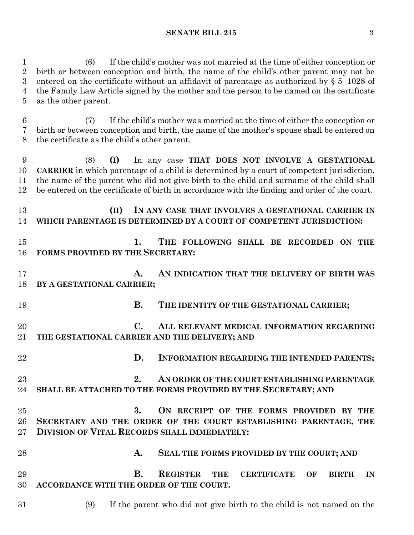**SENATE BILL 215** 3

 (6) If the child's mother was not married at the time of either conception or birth or between conception and birth, the name of the child's other parent may not be entered on the certificate without an affidavit of parentage as authorized by § 5–1028 of the Family Law Article signed by the mother and the person to be named on the certificate as the other parent.

 (7) If the child's mother was married at the time of either the conception or birth or between conception and birth, the name of the mother's spouse shall be entered on the certificate as the child's other parent.

 (8) **(I)** In any case **THAT DOES NOT INVOLVE A GESTATIONAL CARRIER** in which parentage of a child is determined by a court of competent jurisdiction, the name of the parent who did not give birth to the child and surname of the child shall be entered on the certificate of birth in accordance with the finding and order of the court.

 **(II) IN ANY CASE THAT INVOLVES A GESTATIONAL CARRIER IN WHICH PARENTAGE IS DETERMINED BY A COURT OF COMPETENT JURISDICTION:**

 **1. THE FOLLOWING SHALL BE RECORDED ON THE FORMS PROVIDED BY THE SECRETARY:**

 **A. AN INDICATION THAT THE DELIVERY OF BIRTH WAS BY A GESTATIONAL CARRIER;**

**B. THE IDENTITY OF THE GESTATIONAL CARRIER;**

 **C. ALL RELEVANT MEDICAL INFORMATION REGARDING THE GESTATIONAL CARRIER AND THE DELIVERY; AND**

- **D. INFORMATION REGARDING THE INTENDED PARENTS;**
- **2. AN ORDER OF THE COURT ESTABLISHING PARENTAGE SHALL BE ATTACHED TO THE FORMS PROVIDED BY THE SECRETARY; AND**
- **3. ON RECEIPT OF THE FORMS PROVIDED BY THE SECRETARY AND THE ORDER OF THE COURT ESTABLISHING PARENTAGE, THE DIVISION OF VITAL RECORDS SHALL IMMEDIATELY:**
- **A. SEAL THE FORMS PROVIDED BY THE COURT; AND B. REGISTER THE CERTIFICATE OF BIRTH IN ACCORDANCE WITH THE ORDER OF THE COURT.**
- (9) If the parent who did not give birth to the child is not named on the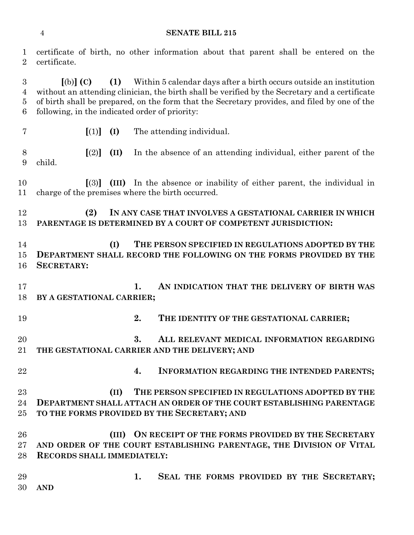#### **SENATE BILL 215**

 certificate of birth, no other information about that parent shall be entered on the certificate. **[**(b)**] (C) (1)** Within 5 calendar days after a birth occurs outside an institution without an attending clinician, the birth shall be verified by the Secretary and a certificate of birth shall be prepared, on the form that the Secretary provides, and filed by one of the following, in the indicated order of priority:

 **[**(2)**] (II)** In the absence of an attending individual, either parent of the child.

**[**(1)**] (I)** The attending individual.

 **[**(3)**] (III)** In the absence or inability of either parent, the individual in charge of the premises where the birth occurred.

 **(2) IN ANY CASE THAT INVOLVES A GESTATIONAL CARRIER IN WHICH PARENTAGE IS DETERMINED BY A COURT OF COMPETENT JURISDICTION:**

 **(I) THE PERSON SPECIFIED IN REGULATIONS ADOPTED BY THE DEPARTMENT SHALL RECORD THE FOLLOWING ON THE FORMS PROVIDED BY THE SECRETARY:**

 **1. AN INDICATION THAT THE DELIVERY OF BIRTH WAS BY A GESTATIONAL CARRIER;**

**2. THE IDENTITY OF THE GESTATIONAL CARRIER;**

 **3. ALL RELEVANT MEDICAL INFORMATION REGARDING THE GESTATIONAL CARRIER AND THE DELIVERY; AND**

**4. INFORMATION REGARDING THE INTENDED PARENTS;**

 **(II) THE PERSON SPECIFIED IN REGULATIONS ADOPTED BY THE DEPARTMENT SHALL ATTACH AN ORDER OF THE COURT ESTABLISHING PARENTAGE TO THE FORMS PROVIDED BY THE SECRETARY; AND**

 **(III) ON RECEIPT OF THE FORMS PROVIDED BY THE SECRETARY AND ORDER OF THE COURT ESTABLISHING PARENTAGE, THE DIVISION OF VITAL RECORDS SHALL IMMEDIATELY:**

 **1. SEAL THE FORMS PROVIDED BY THE SECRETARY; AND**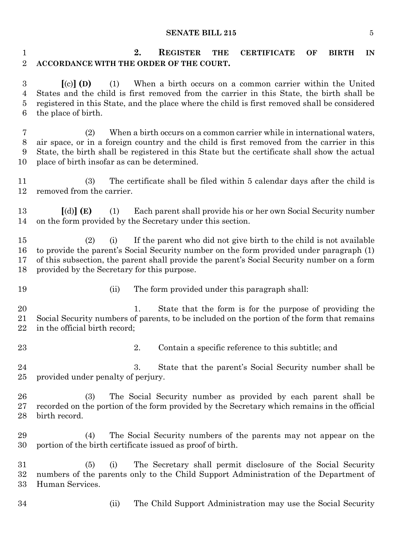#### **SENATE BILL 215** 5

 **2. REGISTER THE CERTIFICATE OF BIRTH IN ACCORDANCE WITH THE ORDER OF THE COURT.**

 **[**(c)**] (D)** (1) When a birth occurs on a common carrier within the United States and the child is first removed from the carrier in this State, the birth shall be registered in this State, and the place where the child is first removed shall be considered the place of birth.

 (2) When a birth occurs on a common carrier while in international waters, air space, or in a foreign country and the child is first removed from the carrier in this State, the birth shall be registered in this State but the certificate shall show the actual place of birth insofar as can be determined.

 (3) The certificate shall be filed within 5 calendar days after the child is removed from the carrier.

 **[**(d)**] (E)** (1) Each parent shall provide his or her own Social Security number on the form provided by the Secretary under this section.

 (2) (i) If the parent who did not give birth to the child is not available to provide the parent's Social Security number on the form provided under paragraph (1) of this subsection, the parent shall provide the parent's Social Security number on a form provided by the Secretary for this purpose.

- 
- (ii) The form provided under this paragraph shall:

20 1. State that the form is for the purpose of providing the Social Security numbers of parents, to be included on the portion of the form that remains in the official birth record;

- 
- 23 23 2. Contain a specific reference to this subtitle; and

 3. State that the parent's Social Security number shall be provided under penalty of perjury.

 (3) The Social Security number as provided by each parent shall be recorded on the portion of the form provided by the Secretary which remains in the official birth record.

 (4) The Social Security numbers of the parents may not appear on the portion of the birth certificate issued as proof of birth.

 (5) (i) The Secretary shall permit disclosure of the Social Security numbers of the parents only to the Child Support Administration of the Department of Human Services.

- 
- (ii) The Child Support Administration may use the Social Security